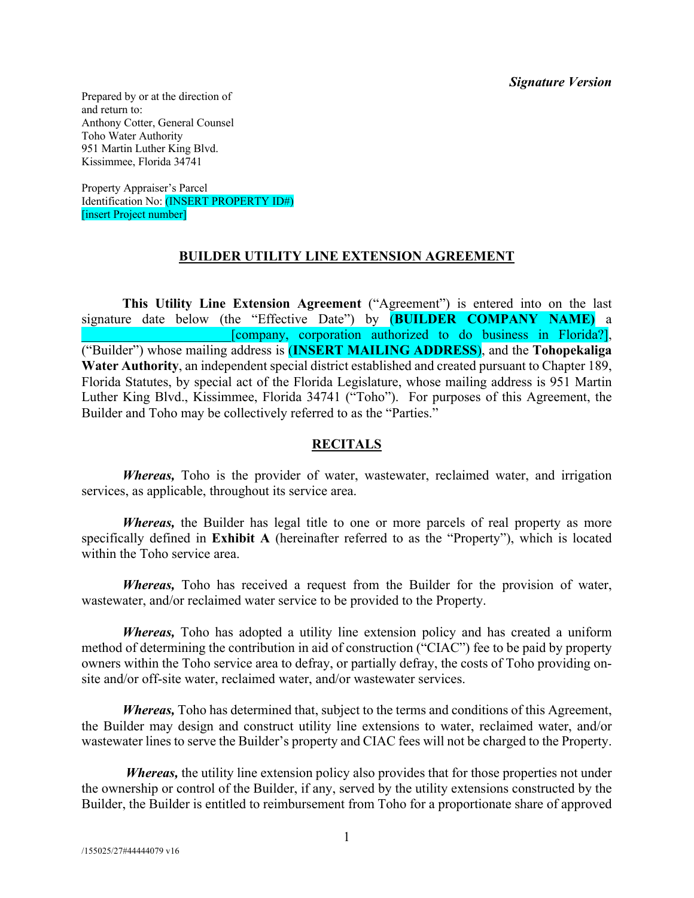*Signature Version*

Prepared by or at the direction of and return to: Anthony Cotter, General Counsel Toho Water Authority 951 Martin Luther King Blvd. Kissimmee, Florida 34741

Property Appraiser's Parcel Identification No: (INSERT PROPERTY ID#) [insert Project number]

#### **BUILDER UTILITY LINE EXTENSION AGREEMENT**

**This Utility Line Extension Agreement** ("Agreement") is entered into on the last signature date below (the "Effective Date") by (**BUILDER COMPANY NAME)** a \_\_\_\_\_\_\_\_\_\_\_\_\_\_\_\_\_\_\_\_\_\_[company, corporation authorized to do business in Florida?], ("Builder") whose mailing address is (**INSERT MAILING ADDRESS**), and the **Tohopekaliga Water Authority**, an independent special district established and created pursuant to Chapter 189, Florida Statutes, by special act of the Florida Legislature, whose mailing address is 951 Martin Luther King Blvd., Kissimmee, Florida 34741 ("Toho"). For purposes of this Agreement, the Builder and Toho may be collectively referred to as the "Parties."

#### **RECITALS**

*Whereas,* Toho is the provider of water, wastewater, reclaimed water, and irrigation services, as applicable, throughout its service area.

*Whereas,* the Builder has legal title to one or more parcels of real property as more specifically defined in **Exhibit A** (hereinafter referred to as the "Property"), which is located within the Toho service area.

*Whereas,* Toho has received a request from the Builder for the provision of water, wastewater, and/or reclaimed water service to be provided to the Property.

*Whereas,* Toho has adopted a utility line extension policy and has created a uniform method of determining the contribution in aid of construction ("CIAC") fee to be paid by property owners within the Toho service area to defray, or partially defray, the costs of Toho providing onsite and/or off-site water, reclaimed water, and/or wastewater services.

*Whereas,* Toho has determined that, subject to the terms and conditions of this Agreement, the Builder may design and construct utility line extensions to water, reclaimed water, and/or wastewater lines to serve the Builder's property and CIAC fees will not be charged to the Property.

*Whereas*, the utility line extension policy also provides that for those properties not under the ownership or control of the Builder, if any, served by the utility extensions constructed by the Builder, the Builder is entitled to reimbursement from Toho for a proportionate share of approved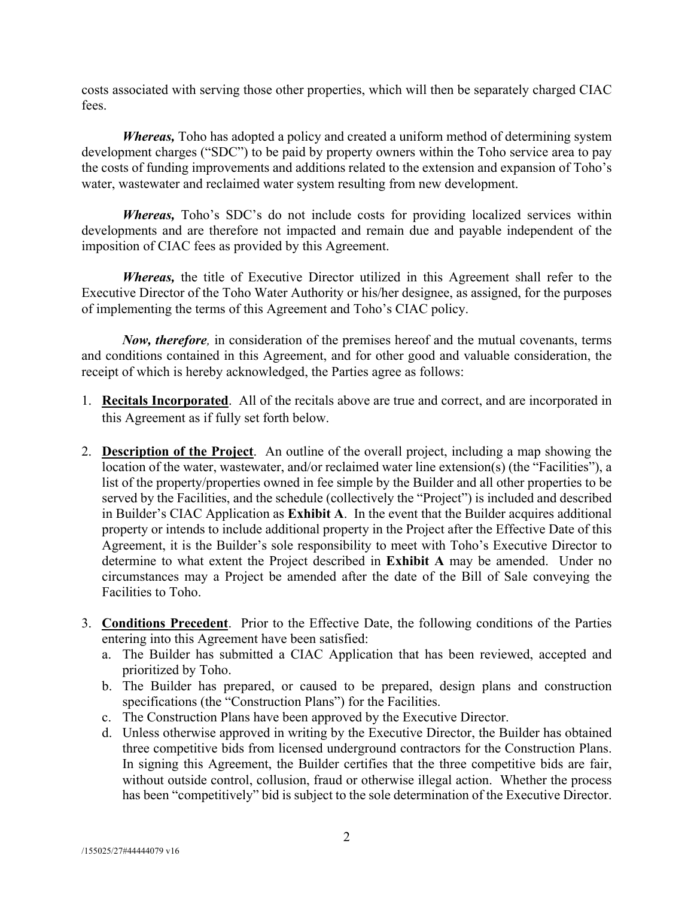costs associated with serving those other properties, which will then be separately charged CIAC fees.

*Whereas,* Toho has adopted a policy and created a uniform method of determining system development charges ("SDC") to be paid by property owners within the Toho service area to pay the costs of funding improvements and additions related to the extension and expansion of Toho's water, wastewater and reclaimed water system resulting from new development.

*Whereas,* Toho's SDC's do not include costs for providing localized services within developments and are therefore not impacted and remain due and payable independent of the imposition of CIAC fees as provided by this Agreement.

*Whereas,* the title of Executive Director utilized in this Agreement shall refer to the Executive Director of the Toho Water Authority or his/her designee, as assigned, for the purposes of implementing the terms of this Agreement and Toho's CIAC policy.

*Now, therefore,* in consideration of the premises hereof and the mutual covenants, terms and conditions contained in this Agreement, and for other good and valuable consideration, the receipt of which is hereby acknowledged, the Parties agree as follows:

- 1. **Recitals Incorporated**.All of the recitals above are true and correct, and are incorporated in this Agreement as if fully set forth below.
- 2. **Description of the Project**. An outline of the overall project, including a map showing the location of the water, wastewater, and/or reclaimed water line extension(s) (the "Facilities"), a list of the property/properties owned in fee simple by the Builder and all other properties to be served by the Facilities, and the schedule (collectively the "Project") is included and described in Builder's CIAC Application as **Exhibit A**. In the event that the Builder acquires additional property or intends to include additional property in the Project after the Effective Date of this Agreement, it is the Builder's sole responsibility to meet with Toho's Executive Director to determine to what extent the Project described in **Exhibit A** may be amended. Under no circumstances may a Project be amended after the date of the Bill of Sale conveying the Facilities to Toho.
- 3. **Conditions Precedent**. Prior to the Effective Date, the following conditions of the Parties entering into this Agreement have been satisfied:
	- a. The Builder has submitted a CIAC Application that has been reviewed, accepted and prioritized by Toho.
	- b. The Builder has prepared, or caused to be prepared, design plans and construction specifications (the "Construction Plans") for the Facilities.
	- c. The Construction Plans have been approved by the Executive Director.
	- d. Unless otherwise approved in writing by the Executive Director, the Builder has obtained three competitive bids from licensed underground contractors for the Construction Plans. In signing this Agreement, the Builder certifies that the three competitive bids are fair, without outside control, collusion, fraud or otherwise illegal action. Whether the process has been "competitively" bid is subject to the sole determination of the Executive Director.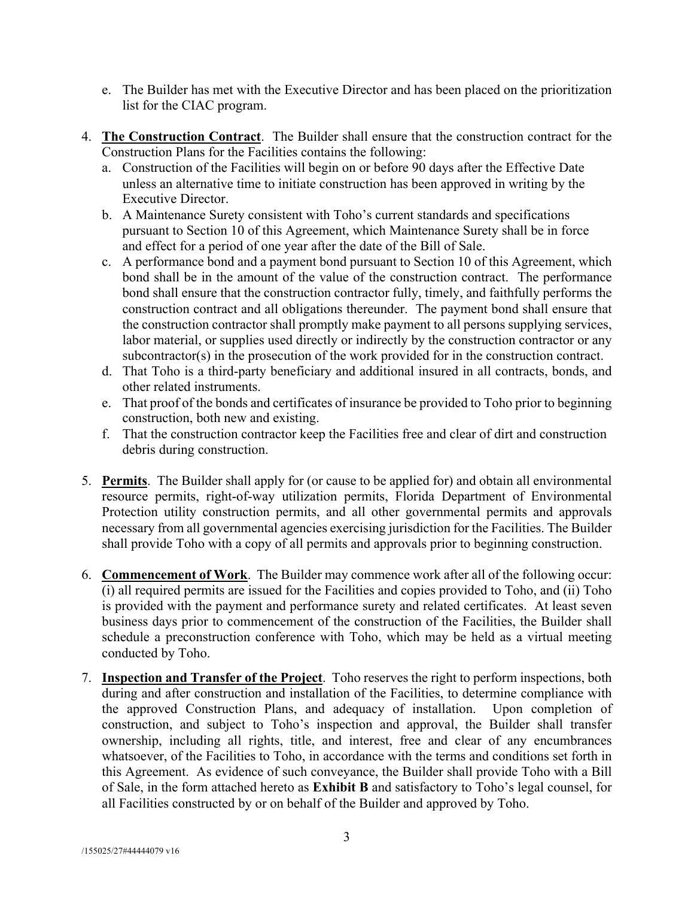- e. The Builder has met with the Executive Director and has been placed on the prioritization list for the CIAC program.
- 4. **The Construction Contract**. The Builder shall ensure that the construction contract for the Construction Plans for the Facilities contains the following:
	- a. Construction of the Facilities will begin on or before 90 days after the Effective Date unless an alternative time to initiate construction has been approved in writing by the Executive Director.
	- b. A Maintenance Surety consistent with Toho's current standards and specifications pursuant to Section 10 of this Agreement, which Maintenance Surety shall be in force and effect for a period of one year after the date of the Bill of Sale.
	- c. A performance bond and a payment bond pursuant to Section 10 of this Agreement, which bond shall be in the amount of the value of the construction contract. The performance bond shall ensure that the construction contractor fully, timely, and faithfully performs the construction contract and all obligations thereunder. The payment bond shall ensure that the construction contractor shall promptly make payment to all persons supplying services, labor material, or supplies used directly or indirectly by the construction contractor or any subcontractor(s) in the prosecution of the work provided for in the construction contract.
	- d. That Toho is a third-party beneficiary and additional insured in all contracts, bonds, and other related instruments.
	- e. That proof of the bonds and certificates of insurance be provided to Toho prior to beginning construction, both new and existing.
	- f. That the construction contractor keep the Facilities free and clear of dirt and construction debris during construction.
- 5. **Permits**.The Builder shall apply for (or cause to be applied for) and obtain all environmental resource permits, right-of-way utilization permits, Florida Department of Environmental Protection utility construction permits, and all other governmental permits and approvals necessary from all governmental agencies exercising jurisdiction for the Facilities. The Builder shall provide Toho with a copy of all permits and approvals prior to beginning construction.
- 6. **Commencement of Work**.The Builder may commence work after all of the following occur: (i) all required permits are issued for the Facilities and copies provided to Toho, and (ii) Toho is provided with the payment and performance surety and related certificates. At least seven business days prior to commencement of the construction of the Facilities, the Builder shall schedule a preconstruction conference with Toho, which may be held as a virtual meeting conducted by Toho.
- 7. **Inspection and Transfer of the Project**.Toho reserves the right to perform inspections, both during and after construction and installation of the Facilities, to determine compliance with the approved Construction Plans, and adequacy of installation. Upon completion of construction, and subject to Toho's inspection and approval, the Builder shall transfer ownership, including all rights, title, and interest, free and clear of any encumbrances whatsoever, of the Facilities to Toho, in accordance with the terms and conditions set forth in this Agreement. As evidence of such conveyance, the Builder shall provide Toho with a Bill of Sale, in the form attached hereto as **Exhibit B** and satisfactory to Toho's legal counsel, for all Facilities constructed by or on behalf of the Builder and approved by Toho.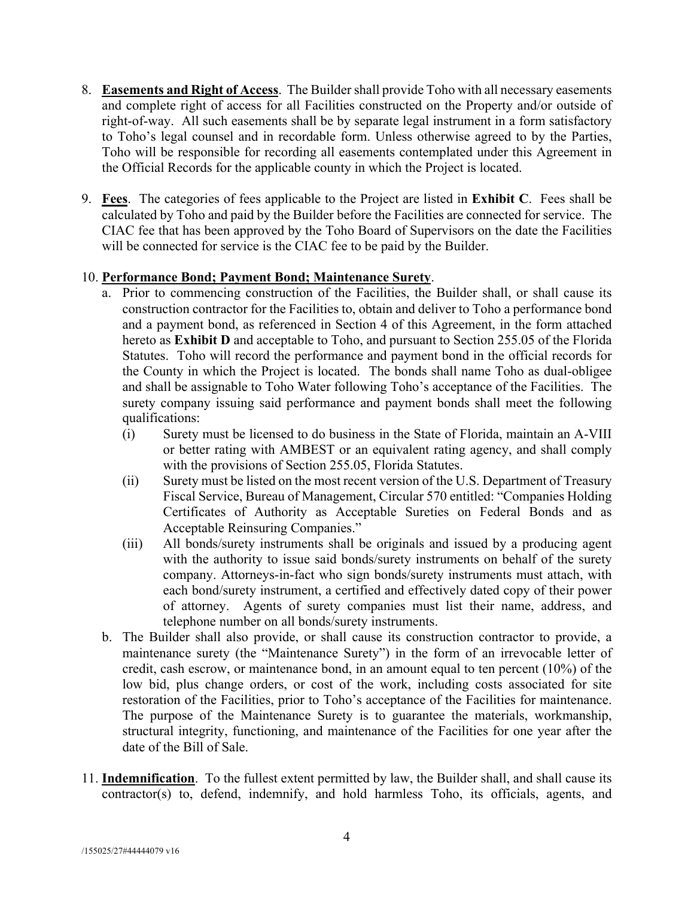- 8. **Easements and Right of Access**. The Buildershall provide Toho with all necessary easements and complete right of access for all Facilities constructed on the Property and/or outside of right-of-way. All such easements shall be by separate legal instrument in a form satisfactory to Toho's legal counsel and in recordable form. Unless otherwise agreed to by the Parties, Toho will be responsible for recording all easements contemplated under this Agreement in the Official Records for the applicable county in which the Project is located.
- 9. **Fees**. The categories of fees applicable to the Project are listed in **Exhibit C**. Fees shall be calculated by Toho and paid by the Builder before the Facilities are connected for service. The CIAC fee that has been approved by the Toho Board of Supervisors on the date the Facilities will be connected for service is the CIAC fee to be paid by the Builder.

### 10. **Performance Bond; Payment Bond; Maintenance Surety**.

- a. Prior to commencing construction of the Facilities, the Builder shall, or shall cause its construction contractor for the Facilities to, obtain and deliver to Toho a performance bond and a payment bond, as referenced in Section 4 of this Agreement, in the form attached hereto as **Exhibit D** and acceptable to Toho, and pursuant to Section 255.05 of the Florida Statutes. Toho will record the performance and payment bond in the official records for the County in which the Project is located. The bonds shall name Toho as dual-obligee and shall be assignable to Toho Water following Toho's acceptance of the Facilities. The surety company issuing said performance and payment bonds shall meet the following qualifications:
	- (i) Surety must be licensed to do business in the State of Florida, maintain an A-VIII or better rating with AMBEST or an equivalent rating agency, and shall comply with the provisions of Section 255.05, Florida Statutes.
	- (ii) Surety must be listed on the most recent version of the U.S. Department of Treasury Fiscal Service, Bureau of Management, Circular 570 entitled: "Companies Holding Certificates of Authority as Acceptable Sureties on Federal Bonds and as Acceptable Reinsuring Companies."
	- (iii) All bonds/surety instruments shall be originals and issued by a producing agent with the authority to issue said bonds/surety instruments on behalf of the surety company. Attorneys-in-fact who sign bonds/surety instruments must attach, with each bond/surety instrument, a certified and effectively dated copy of their power of attorney. Agents of surety companies must list their name, address, and telephone number on all bonds/surety instruments.
- b. The Builder shall also provide, or shall cause its construction contractor to provide, a maintenance surety (the "Maintenance Surety") in the form of an irrevocable letter of credit, cash escrow, or maintenance bond, in an amount equal to ten percent (10%) of the low bid, plus change orders, or cost of the work, including costs associated for site restoration of the Facilities, prior to Toho's acceptance of the Facilities for maintenance. The purpose of the Maintenance Surety is to guarantee the materials, workmanship, structural integrity, functioning, and maintenance of the Facilities for one year after the date of the Bill of Sale.
- 11. **Indemnification**.To the fullest extent permitted by law, the Builder shall, and shall cause its contractor(s) to, defend, indemnify, and hold harmless Toho, its officials, agents, and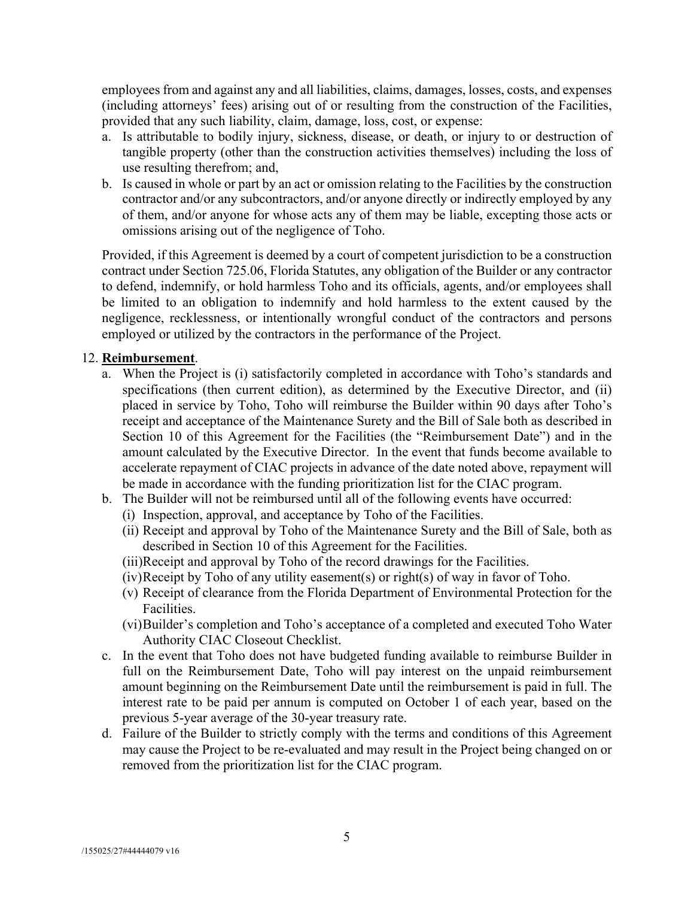employees from and against any and all liabilities, claims, damages, losses, costs, and expenses (including attorneys' fees) arising out of or resulting from the construction of the Facilities, provided that any such liability, claim, damage, loss, cost, or expense:

- a. Is attributable to bodily injury, sickness, disease, or death, or injury to or destruction of tangible property (other than the construction activities themselves) including the loss of use resulting therefrom; and,
- b. Is caused in whole or part by an act or omission relating to the Facilities by the construction contractor and/or any subcontractors, and/or anyone directly or indirectly employed by any of them, and/or anyone for whose acts any of them may be liable, excepting those acts or omissions arising out of the negligence of Toho.

Provided, if this Agreement is deemed by a court of competent jurisdiction to be a construction contract under Section 725.06, Florida Statutes, any obligation of the Builder or any contractor to defend, indemnify, or hold harmless Toho and its officials, agents, and/or employees shall be limited to an obligation to indemnify and hold harmless to the extent caused by the negligence, recklessness, or intentionally wrongful conduct of the contractors and persons employed or utilized by the contractors in the performance of the Project.

#### 12. **Reimbursement**.

- a. When the Project is (i) satisfactorily completed in accordance with Toho's standards and specifications (then current edition), as determined by the Executive Director, and (ii) placed in service by Toho, Toho will reimburse the Builder within 90 days after Toho's receipt and acceptance of the Maintenance Surety and the Bill of Sale both as described in Section 10 of this Agreement for the Facilities (the "Reimbursement Date") and in the amount calculated by the Executive Director. In the event that funds become available to accelerate repayment of CIAC projects in advance of the date noted above, repayment will be made in accordance with the funding prioritization list for the CIAC program.
- b. The Builder will not be reimbursed until all of the following events have occurred:
	- (i) Inspection, approval, and acceptance by Toho of the Facilities.
	- (ii) Receipt and approval by Toho of the Maintenance Surety and the Bill of Sale, both as described in Section 10 of this Agreement for the Facilities.
	- (iii)Receipt and approval by Toho of the record drawings for the Facilities.
	- (iv)Receipt by Toho of any utility easement(s) or right(s) of way in favor of Toho.
	- (v) Receipt of clearance from the Florida Department of Environmental Protection for the Facilities.
	- (vi)Builder's completion and Toho's acceptance of a completed and executed Toho Water Authority CIAC Closeout Checklist.
- c. In the event that Toho does not have budgeted funding available to reimburse Builder in full on the Reimbursement Date, Toho will pay interest on the unpaid reimbursement amount beginning on the Reimbursement Date until the reimbursement is paid in full. The interest rate to be paid per annum is computed on October 1 of each year, based on the previous 5-year average of the 30-year treasury rate.
- d. Failure of the Builder to strictly comply with the terms and conditions of this Agreement may cause the Project to be re-evaluated and may result in the Project being changed on or removed from the prioritization list for the CIAC program.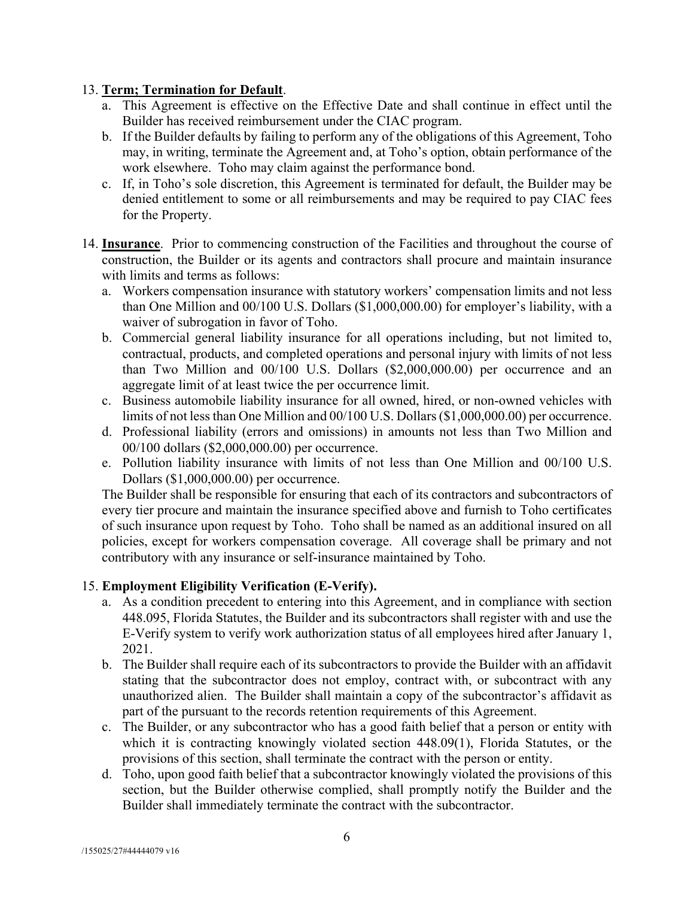### 13. **Term; Termination for Default**.

- a. This Agreement is effective on the Effective Date and shall continue in effect until the Builder has received reimbursement under the CIAC program.
- b. If the Builder defaults by failing to perform any of the obligations of this Agreement, Toho may, in writing, terminate the Agreement and, at Toho's option, obtain performance of the work elsewhere. Toho may claim against the performance bond.
- c. If, in Toho's sole discretion, this Agreement is terminated for default, the Builder may be denied entitlement to some or all reimbursements and may be required to pay CIAC fees for the Property.
- 14. **Insurance**. Prior to commencing construction of the Facilities and throughout the course of construction, the Builder or its agents and contractors shall procure and maintain insurance with limits and terms as follows:
	- a. Workers compensation insurance with statutory workers' compensation limits and not less than One Million and 00/100 U.S. Dollars (\$1,000,000.00) for employer's liability, with a waiver of subrogation in favor of Toho.
	- b. Commercial general liability insurance for all operations including, but not limited to, contractual, products, and completed operations and personal injury with limits of not less than Two Million and 00/100 U.S. Dollars (\$2,000,000.00) per occurrence and an aggregate limit of at least twice the per occurrence limit.
	- c. Business automobile liability insurance for all owned, hired, or non-owned vehicles with limits of not less than One Million and 00/100 U.S. Dollars (\$1,000,000.00) per occurrence.
	- d. Professional liability (errors and omissions) in amounts not less than Two Million and 00/100 dollars (\$2,000,000.00) per occurrence.
	- e. Pollution liability insurance with limits of not less than One Million and 00/100 U.S. Dollars (\$1,000,000.00) per occurrence.

The Builder shall be responsible for ensuring that each of its contractors and subcontractors of every tier procure and maintain the insurance specified above and furnish to Toho certificates of such insurance upon request by Toho. Toho shall be named as an additional insured on all policies, except for workers compensation coverage. All coverage shall be primary and not contributory with any insurance or self-insurance maintained by Toho.

## 15. **Employment Eligibility Verification (E-Verify).**

- a. As a condition precedent to entering into this Agreement, and in compliance with section 448.095, Florida Statutes, the Builder and its subcontractors shall register with and use the E-Verify system to verify work authorization status of all employees hired after January 1, 2021.
- b. The Builder shall require each of its subcontractors to provide the Builder with an affidavit stating that the subcontractor does not employ, contract with, or subcontract with any unauthorized alien. The Builder shall maintain a copy of the subcontractor's affidavit as part of the pursuant to the records retention requirements of this Agreement.
- c. The Builder, or any subcontractor who has a good faith belief that a person or entity with which it is contracting knowingly violated section 448.09(1), Florida Statutes, or the provisions of this section, shall terminate the contract with the person or entity.
- d. Toho, upon good faith belief that a subcontractor knowingly violated the provisions of this section, but the Builder otherwise complied, shall promptly notify the Builder and the Builder shall immediately terminate the contract with the subcontractor.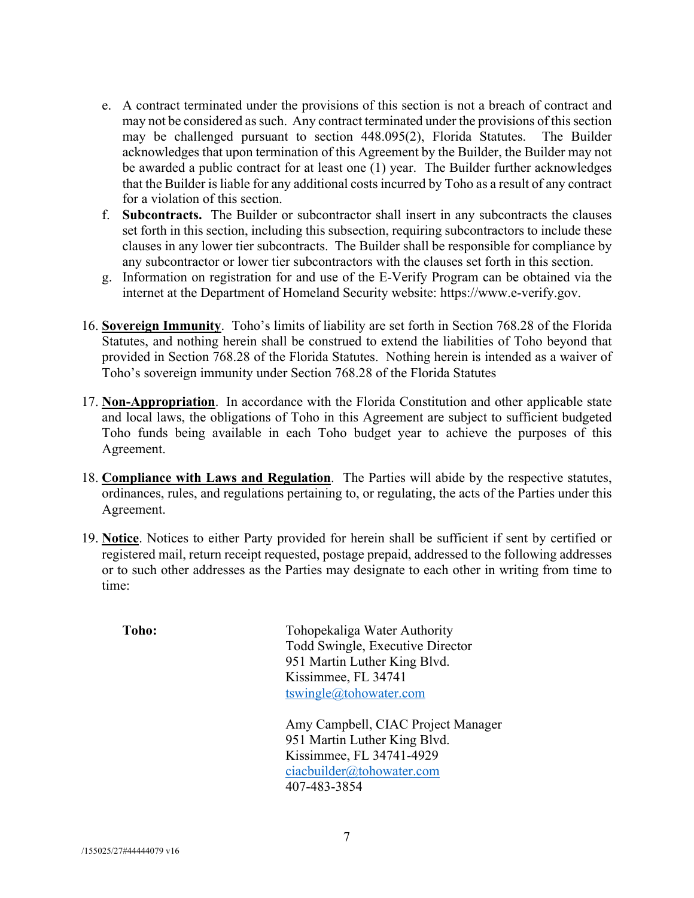- e. A contract terminated under the provisions of this section is not a breach of contract and may not be considered as such. Any contract terminated under the provisions of this section may be challenged pursuant to section 448.095(2), Florida Statutes. The Builder acknowledges that upon termination of this Agreement by the Builder, the Builder may not be awarded a public contract for at least one (1) year. The Builder further acknowledges that the Builder is liable for any additional costs incurred by Toho as a result of any contract for a violation of this section.
- f. **Subcontracts.** The Builder or subcontractor shall insert in any subcontracts the clauses set forth in this section, including this subsection, requiring subcontractors to include these clauses in any lower tier subcontracts. The Builder shall be responsible for compliance by any subcontractor or lower tier subcontractors with the clauses set forth in this section.
- g. Information on registration for and use of the E-Verify Program can be obtained via the internet at the Department of Homeland Security website: https://www.e-verify.gov.
- 16. **Sovereign Immunity**.Toho's limits of liability are set forth in Section 768.28 of the Florida Statutes, and nothing herein shall be construed to extend the liabilities of Toho beyond that provided in Section 768.28 of the Florida Statutes. Nothing herein is intended as a waiver of Toho's sovereign immunity under Section 768.28 of the Florida Statutes
- 17. **Non-Appropriation**. In accordance with the Florida Constitution and other applicable state and local laws, the obligations of Toho in this Agreement are subject to sufficient budgeted Toho funds being available in each Toho budget year to achieve the purposes of this Agreement.
- 18. **Compliance with Laws and Regulation**.The Parties will abide by the respective statutes, ordinances, rules, and regulations pertaining to, or regulating, the acts of the Parties under this Agreement.
- 19. **Notice**. Notices to either Party provided for herein shall be sufficient if sent by certified or registered mail, return receipt requested, postage prepaid, addressed to the following addresses or to such other addresses as the Parties may designate to each other in writing from time to time:

Toho: Tohopekaliga Water Authority Todd Swingle, Executive Director 951 Martin Luther King Blvd. Kissimmee, FL 34741 tswingle@tohowater.com

> Amy Campbell, CIAC Project Manager 951 Martin Luther King Blvd. Kissimmee, FL 34741-4929 ciacbuilder@tohowater.com 407-483-3854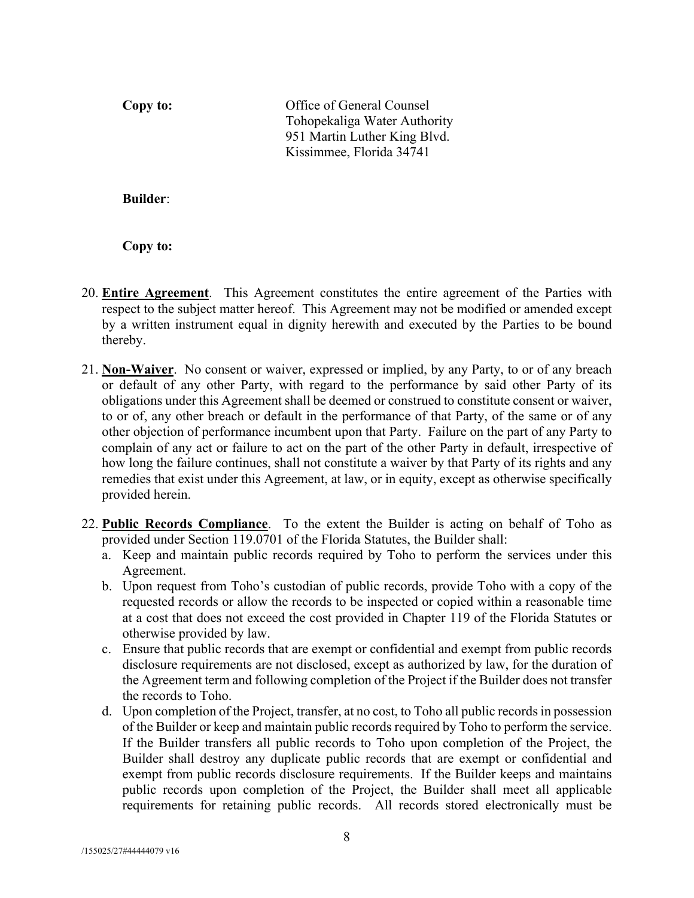**Copy to:** Office of General Counsel Tohopekaliga Water Authority 951 Martin Luther King Blvd. Kissimmee, Florida 34741

**Builder**:

**Copy to:**

- 20. **Entire Agreement**.This Agreement constitutes the entire agreement of the Parties with respect to the subject matter hereof. This Agreement may not be modified or amended except by a written instrument equal in dignity herewith and executed by the Parties to be bound thereby.
- 21. **Non-Waiver**. No consent or waiver, expressed or implied, by any Party, to or of any breach or default of any other Party, with regard to the performance by said other Party of its obligations under this Agreement shall be deemed or construed to constitute consent or waiver, to or of, any other breach or default in the performance of that Party, of the same or of any other objection of performance incumbent upon that Party. Failure on the part of any Party to complain of any act or failure to act on the part of the other Party in default, irrespective of how long the failure continues, shall not constitute a waiver by that Party of its rights and any remedies that exist under this Agreement, at law, or in equity, except as otherwise specifically provided herein.
- 22. **Public Records Compliance**.To the extent the Builder is acting on behalf of Toho as provided under Section 119.0701 of the Florida Statutes, the Builder shall:
	- a. Keep and maintain public records required by Toho to perform the services under this Agreement.
	- b. Upon request from Toho's custodian of public records, provide Toho with a copy of the requested records or allow the records to be inspected or copied within a reasonable time at a cost that does not exceed the cost provided in Chapter 119 of the Florida Statutes or otherwise provided by law.
	- c. Ensure that public records that are exempt or confidential and exempt from public records disclosure requirements are not disclosed, except as authorized by law, for the duration of the Agreement term and following completion of the Project if the Builder does not transfer the records to Toho.
	- d. Upon completion of the Project, transfer, at no cost, to Toho all public records in possession of the Builder or keep and maintain public records required by Toho to perform the service. If the Builder transfers all public records to Toho upon completion of the Project, the Builder shall destroy any duplicate public records that are exempt or confidential and exempt from public records disclosure requirements. If the Builder keeps and maintains public records upon completion of the Project, the Builder shall meet all applicable requirements for retaining public records. All records stored electronically must be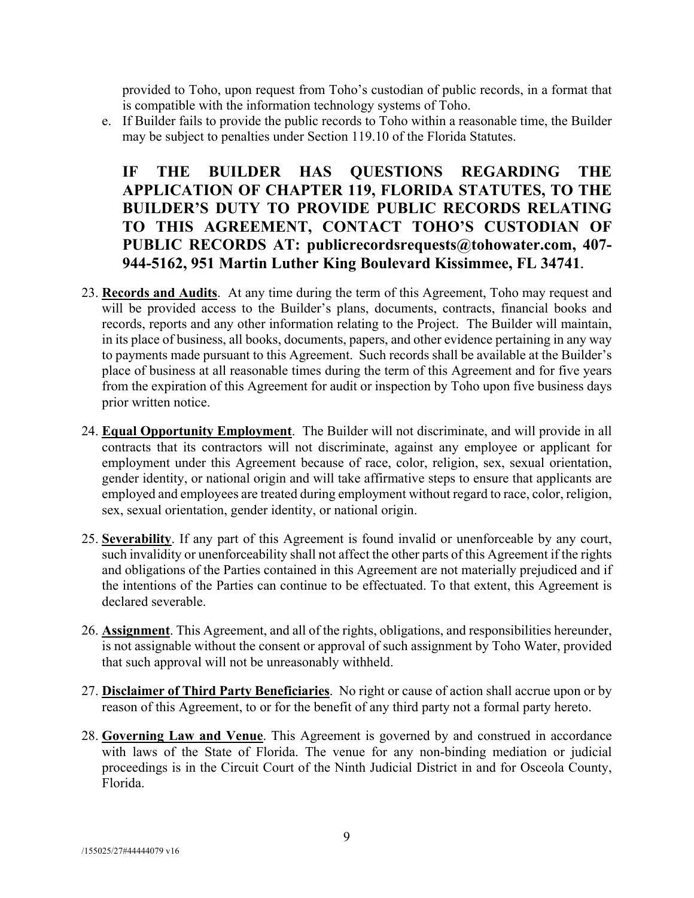provided to Toho, upon request from Toho's custodian of public records, in a format that is compatible with the information technology systems of Toho.

e. If Builder fails to provide the public records to Toho within a reasonable time, the Builder may be subject to penalties under Section 119.10 of the Florida Statutes.

**IF THE BUILDER HAS QUESTIONS REGARDING THE APPLICATION OF CHAPTER 119, FLORIDA STATUTES, TO THE BUILDER'S DUTY TO PROVIDE PUBLIC RECORDS RELATING TO THIS AGREEMENT, CONTACT TOHO'S CUSTODIAN OF PUBLIC RECORDS AT: publicrecordsrequests@tohowater.com, 407- 944-5162, 951 Martin Luther King Boulevard Kissimmee, FL 34741.**

- 23. **Records and Audits**.At any time during the term of this Agreement, Toho may request and will be provided access to the Builder's plans, documents, contracts, financial books and records, reports and any other information relating to the Project. The Builder will maintain, in its place of business, all books, documents, papers, and other evidence pertaining in any way to payments made pursuant to this Agreement. Such records shall be available at the Builder's place of business at all reasonable times during the term of this Agreement and for five years from the expiration of this Agreement for audit or inspection by Toho upon five business days prior written notice.
- 24. **Equal Opportunity Employment**.The Builder will not discriminate, and will provide in all contracts that its contractors will not discriminate, against any employee or applicant for employment under this Agreement because of race, color, religion, sex, sexual orientation, gender identity, or national origin and will take affirmative steps to ensure that applicants are employed and employees are treated during employment without regard to race, color, religion, sex, sexual orientation, gender identity, or national origin.
- 25. **Severability**. If any part of this Agreement is found invalid or unenforceable by any court, such invalidity or unenforceability shall not affect the other parts of this Agreement if the rights and obligations of the Parties contained in this Agreement are not materially prejudiced and if the intentions of the Parties can continue to be effectuated. To that extent, this Agreement is declared severable.
- 26. **Assignment**. This Agreement, and all of the rights, obligations, and responsibilities hereunder, is not assignable without the consent or approval of such assignment by Toho Water, provided that such approval will not be unreasonably withheld.
- 27. **Disclaimer of Third Party Beneficiaries**.No right or cause of action shall accrue upon or by reason of this Agreement, to or for the benefit of any third party not a formal party hereto.
- 28. **Governing Law and Venue**. This Agreement is governed by and construed in accordance with laws of the State of Florida. The venue for any non-binding mediation or judicial proceedings is in the Circuit Court of the Ninth Judicial District in and for Osceola County, Florida.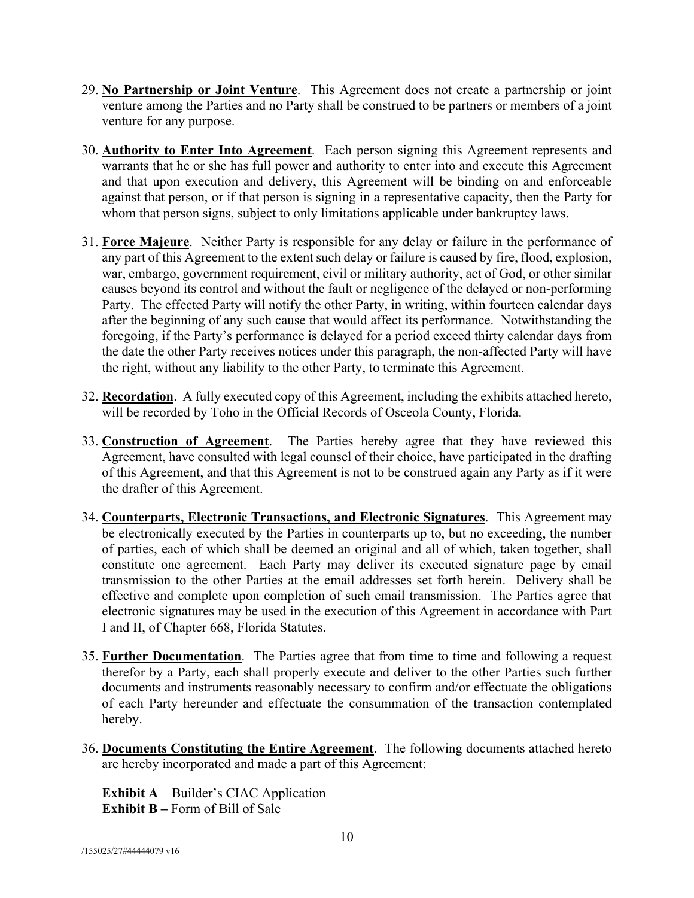- 29. **No Partnership or Joint Venture**.This Agreement does not create a partnership or joint venture among the Parties and no Party shall be construed to be partners or members of a joint venture for any purpose.
- 30. **Authority to Enter Into Agreement**. Each person signing this Agreement represents and warrants that he or she has full power and authority to enter into and execute this Agreement and that upon execution and delivery, this Agreement will be binding on and enforceable against that person, or if that person is signing in a representative capacity, then the Party for whom that person signs, subject to only limitations applicable under bankruptcy laws.
- 31. **Force Majeure**. Neither Party is responsible for any delay or failure in the performance of any part of this Agreement to the extent such delay or failure is caused by fire, flood, explosion, war, embargo, government requirement, civil or military authority, act of God, or other similar causes beyond its control and without the fault or negligence of the delayed or non-performing Party. The effected Party will notify the other Party, in writing, within fourteen calendar days after the beginning of any such cause that would affect its performance. Notwithstanding the foregoing, if the Party's performance is delayed for a period exceed thirty calendar days from the date the other Party receives notices under this paragraph, the non-affected Party will have the right, without any liability to the other Party, to terminate this Agreement.
- 32. **Recordation**. A fully executed copy of this Agreement, including the exhibits attached hereto, will be recorded by Toho in the Official Records of Osceola County, Florida.
- 33. **Construction of Agreement**. The Parties hereby agree that they have reviewed this Agreement, have consulted with legal counsel of their choice, have participated in the drafting of this Agreement, and that this Agreement is not to be construed again any Party as if it were the drafter of this Agreement.
- 34. **Counterparts, Electronic Transactions, and Electronic Signatures**. This Agreement may be electronically executed by the Parties in counterparts up to, but no exceeding, the number of parties, each of which shall be deemed an original and all of which, taken together, shall constitute one agreement. Each Party may deliver its executed signature page by email transmission to the other Parties at the email addresses set forth herein. Delivery shall be effective and complete upon completion of such email transmission. The Parties agree that electronic signatures may be used in the execution of this Agreement in accordance with Part I and II, of Chapter 668, Florida Statutes.
- 35. **Further Documentation**. The Parties agree that from time to time and following a request therefor by a Party, each shall properly execute and deliver to the other Parties such further documents and instruments reasonably necessary to confirm and/or effectuate the obligations of each Party hereunder and effectuate the consummation of the transaction contemplated hereby.
- 36. **Documents Constituting the Entire Agreement**. The following documents attached hereto are hereby incorporated and made a part of this Agreement:

**Exhibit A** – Builder's CIAC Application **Exhibit B** – Form of Bill of Sale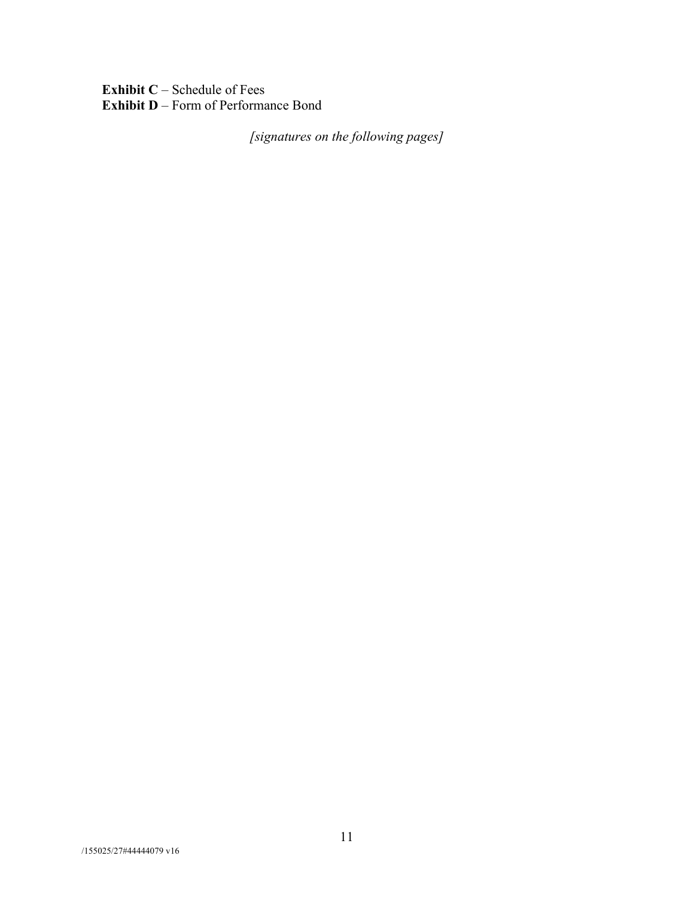**Exhibit C** – Schedule of Fees **Exhibit D** – Form of Performance Bond

*[signatures on the following pages]*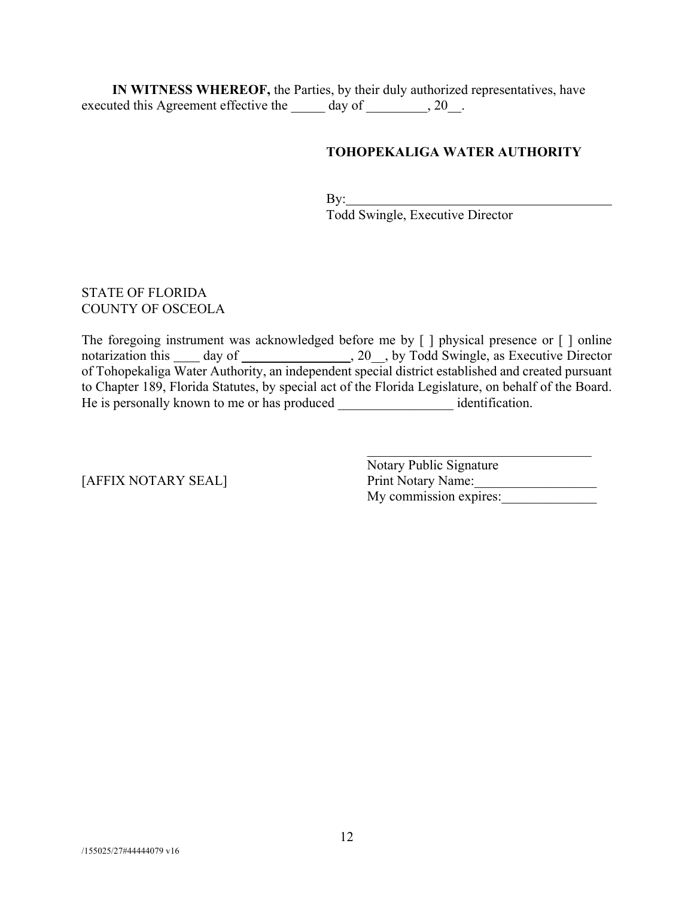**IN WITNESS WHEREOF,** the Parties, by their duly authorized representatives, have executed this Agreement effective the \_\_\_\_\_ day of \_\_\_\_\_\_\_, 20\_.

## **TOHOPEKALIGA WATER AUTHORITY**

By: Todd Swingle, Executive Director

### STATE OF FLORIDA COUNTY OF OSCEOLA

The foregoing instrument was acknowledged before me by [ ] physical presence or [ ] online notarization this \_\_\_\_\_ day of \_\_\_\_\_\_\_\_\_\_\_\_\_\_\_\_, 20\_\_, by Todd Swingle, as Executive Director of Tohopekaliga Water Authority, an independent special district established and created pursuant to Chapter 189, Florida Statutes, by special act of the Florida Legislature, on behalf of the Board. He is personally known to me or has produced \_\_\_\_\_\_\_\_\_\_\_\_\_\_\_\_\_\_\_ identification.

Notary Public Signature [AFFIX NOTARY SEAL] Print Notary Name: My commission expires: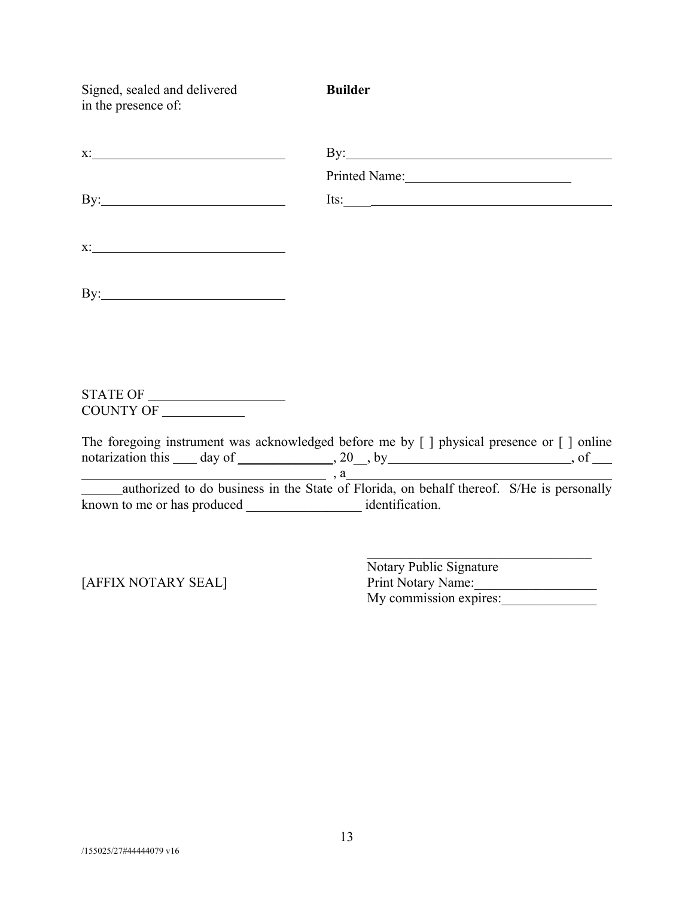| Signed, sealed and delivered<br>in the presence of:          | <b>Builder</b>                                                                                                                                                                     |
|--------------------------------------------------------------|------------------------------------------------------------------------------------------------------------------------------------------------------------------------------------|
|                                                              | By: $\qquad \qquad$                                                                                                                                                                |
|                                                              | Printed Name: 2008                                                                                                                                                                 |
| By: $\qquad \qquad$                                          | Its: $\qquad \qquad$                                                                                                                                                               |
|                                                              |                                                                                                                                                                                    |
|                                                              |                                                                                                                                                                                    |
|                                                              |                                                                                                                                                                                    |
| $\begin{tabular}{c} \bf STATE OF \end{tabular}$<br>COUNTY OF |                                                                                                                                                                                    |
|                                                              | The foregoing instrument was acknowledged before me by [ ] physical presence or [ ] online<br>notarization this $\_\_$ day of $\_\_$ , 20, by $\_\_$ , $\_\_$ , $\_\_$ , of $\_\_$ |
|                                                              | a<br>authorized to do business in the State of Florida, on behalf thereof. S/He is personally                                                                                      |
|                                                              |                                                                                                                                                                                    |

Notary Public Signature [AFFIX NOTARY SEAL] Print Notary Name: My commission expires:

 $\mathcal{L}_\text{max}$  and  $\mathcal{L}_\text{max}$  and  $\mathcal{L}_\text{max}$  and  $\mathcal{L}_\text{max}$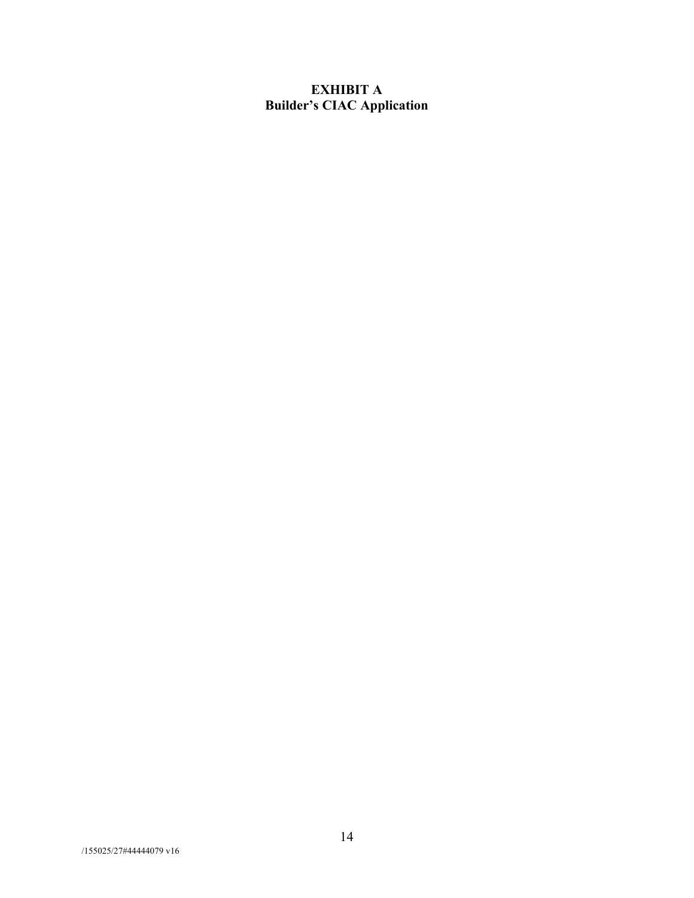## **EXHIBIT A Builder's CIAC Application**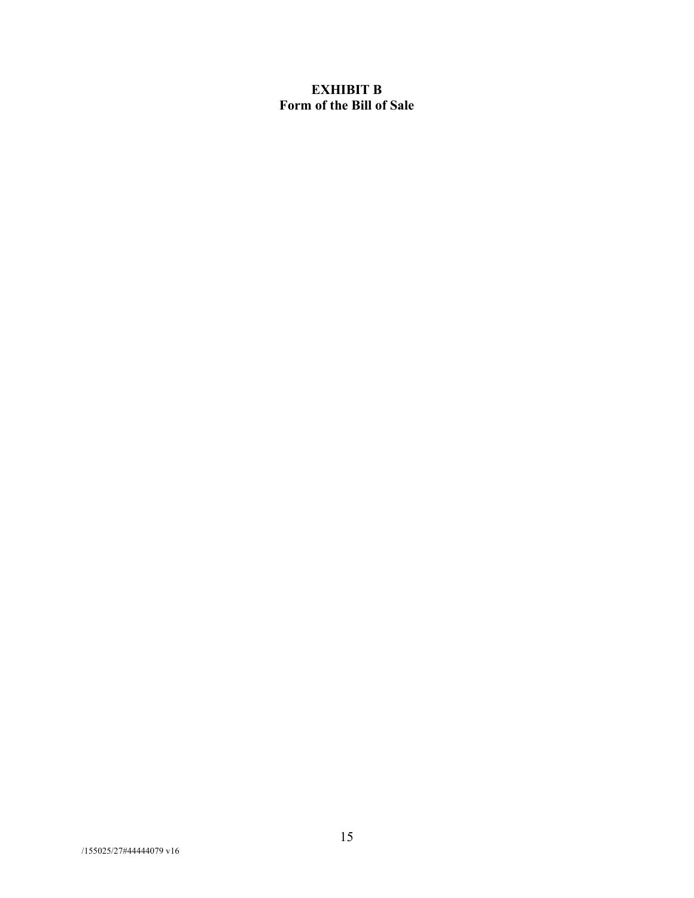## **EXHIBIT B Form of the Bill of Sale**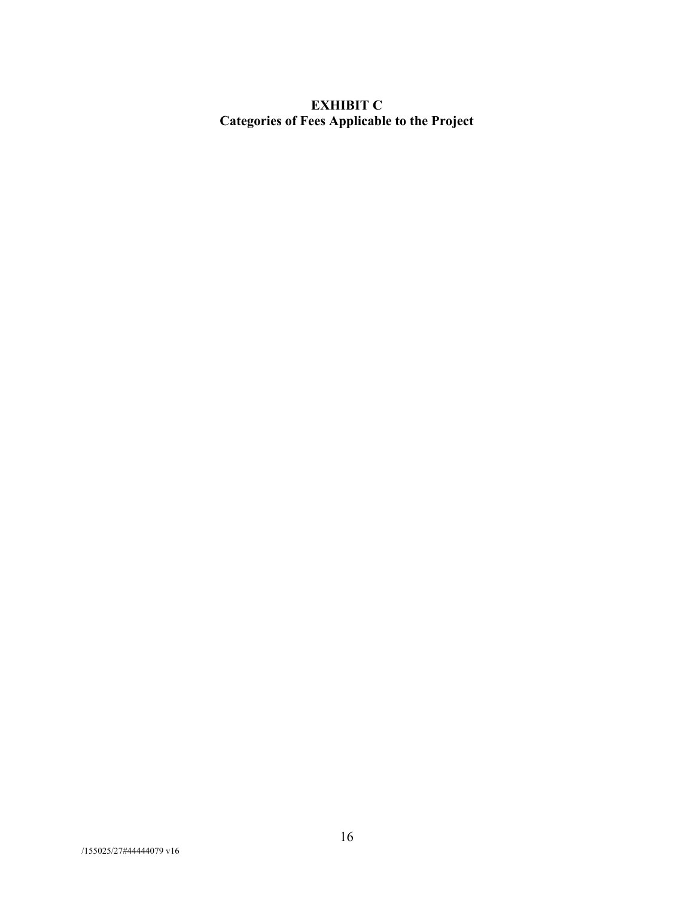# **EXHIBIT C Categories of Fees Applicable to the Project**